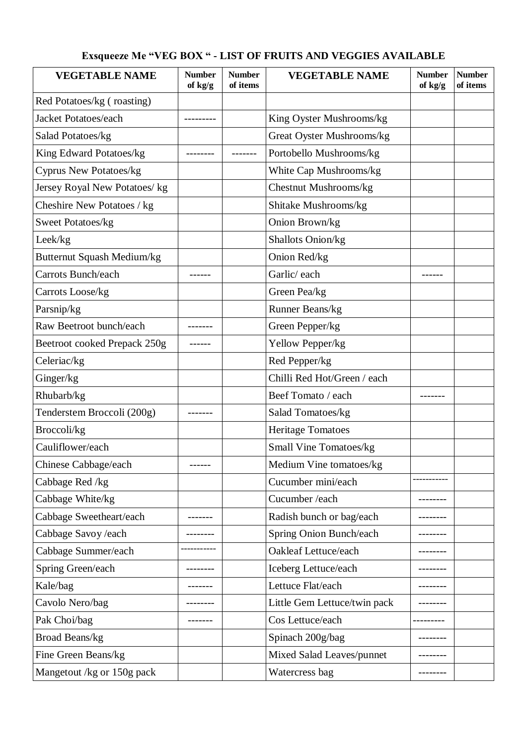## **Exsqueeze Me "VEG BOX " - LIST OF FRUITS AND VEGGIES AVAILABLE**

| <b>VEGETABLE NAME</b>         | <b>Number</b><br>of kg/g | <b>Number</b><br>of items | <b>VEGETABLE NAME</b>        | <b>Number</b><br>of kg/g | <b>Number</b><br>of items |
|-------------------------------|--------------------------|---------------------------|------------------------------|--------------------------|---------------------------|
| Red Potatoes/kg (roasting)    |                          |                           |                              |                          |                           |
| Jacket Potatoes/each          |                          |                           | King Oyster Mushrooms/kg     |                          |                           |
| Salad Potatoes/kg             |                          |                           | Great Oyster Mushrooms/kg    |                          |                           |
| King Edward Potatoes/kg       |                          |                           | Portobello Mushrooms/kg      |                          |                           |
| <b>Cyprus New Potatoes/kg</b> |                          |                           | White Cap Mushrooms/kg       |                          |                           |
| Jersey Royal New Potatoes/kg  |                          |                           | Chestnut Mushrooms/kg        |                          |                           |
| Cheshire New Potatoes / kg    |                          |                           | Shitake Mushrooms/kg         |                          |                           |
| Sweet Potatoes/kg             |                          |                           | Onion Brown/kg               |                          |                           |
| Leek/kg                       |                          |                           | Shallots Onion/kg            |                          |                           |
| Butternut Squash Medium/kg    |                          |                           | Onion Red/kg                 |                          |                           |
| Carrots Bunch/each            |                          |                           | Garlic/each                  |                          |                           |
| Carrots Loose/kg              |                          |                           | Green Pea/kg                 |                          |                           |
| Parsnip/kg                    |                          |                           | Runner Beans/kg              |                          |                           |
| Raw Beetroot bunch/each       |                          |                           | Green Pepper/kg              |                          |                           |
| Beetroot cooked Prepack 250g  |                          |                           | Yellow Pepper/kg             |                          |                           |
| Celeriac/kg                   |                          |                           | Red Pepper/kg                |                          |                           |
| Ginger/kg                     |                          |                           | Chilli Red Hot/Green / each  |                          |                           |
| Rhubarb/kg                    |                          |                           | Beef Tomato / each           |                          |                           |
| Tenderstem Broccoli (200g)    |                          |                           | Salad Tomatoes/kg            |                          |                           |
| Broccoli/kg                   |                          |                           | <b>Heritage Tomatoes</b>     |                          |                           |
| Cauliflower/each              |                          |                           | Small Vine Tomatoes/kg       |                          |                           |
| Chinese Cabbage/each          |                          |                           | Medium Vine tomatoes/kg      |                          |                           |
| Cabbage Red /kg               |                          |                           | Cucumber mini/each           |                          |                           |
| Cabbage White/kg              |                          |                           | Cucumber /each               |                          |                           |
| Cabbage Sweetheart/each       |                          |                           | Radish bunch or bag/each     |                          |                           |
| Cabbage Savoy /each           |                          |                           | Spring Onion Bunch/each      |                          |                           |
| Cabbage Summer/each           |                          |                           | Oakleaf Lettuce/each         |                          |                           |
| Spring Green/each             |                          |                           | Iceberg Lettuce/each         |                          |                           |
| Kale/bag                      |                          |                           | Lettuce Flat/each            |                          |                           |
| Cavolo Nero/bag               |                          |                           | Little Gem Lettuce/twin pack |                          |                           |
| Pak Choi/bag                  |                          |                           | Cos Lettuce/each             |                          |                           |
| Broad Beans/kg                |                          |                           | Spinach 200g/bag             |                          |                           |
| Fine Green Beans/kg           |                          |                           | Mixed Salad Leaves/punnet    |                          |                           |
| Mangetout /kg or 150g pack    |                          |                           | Watercress bag               |                          |                           |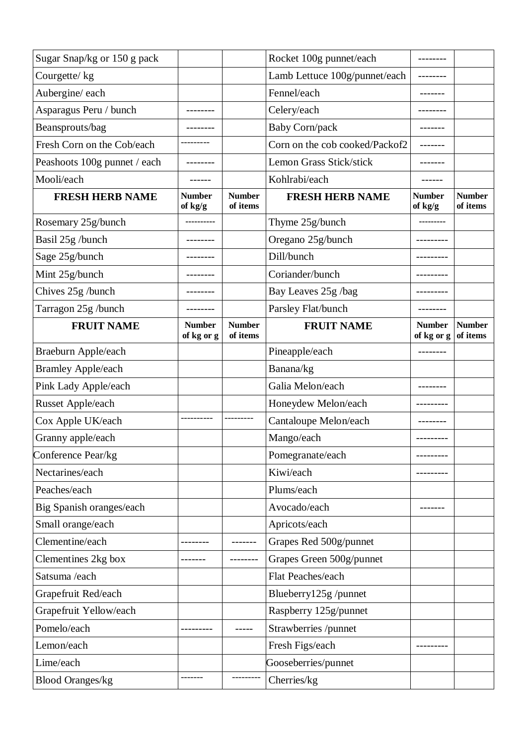| Sugar Snap/kg or 150 g pack  |                             |                           | Rocket 100g punnet/each        |                             |                           |
|------------------------------|-----------------------------|---------------------------|--------------------------------|-----------------------------|---------------------------|
| Courgette/kg                 |                             |                           | Lamb Lettuce 100g/punnet/each  |                             |                           |
| Aubergine/each               |                             |                           | Fennel/each                    |                             |                           |
| Asparagus Peru / bunch       |                             |                           | Celery/each                    |                             |                           |
| Beansprouts/bag              |                             |                           | <b>Baby Corn/pack</b>          |                             |                           |
| Fresh Corn on the Cob/each   |                             |                           | Corn on the cob cooked/Packof2 |                             |                           |
| Peashoots 100g punnet / each |                             |                           | Lemon Grass Stick/stick        |                             |                           |
| Mooli/each                   |                             |                           | Kohlrabi/each                  |                             |                           |
| <b>FRESH HERB NAME</b>       | <b>Number</b><br>of kg/g    | <b>Number</b><br>of items | <b>FRESH HERB NAME</b>         | <b>Number</b><br>of kg/g    | <b>Number</b><br>of items |
| Rosemary 25g/bunch           |                             |                           | Thyme 25g/bunch                |                             |                           |
| Basil 25g /bunch             |                             |                           | Oregano 25g/bunch              |                             |                           |
| Sage 25g/bunch               |                             |                           | Dill/bunch                     |                             |                           |
| Mint 25g/bunch               |                             |                           | Coriander/bunch                |                             |                           |
| Chives 25g /bunch            |                             |                           | Bay Leaves 25g /bag            |                             |                           |
| Tarragon 25g /bunch          |                             |                           | Parsley Flat/bunch             |                             |                           |
| <b>FRUIT NAME</b>            | <b>Number</b><br>of kg or g | <b>Number</b><br>of items | <b>FRUIT NAME</b>              | <b>Number</b><br>of kg or g | <b>Number</b><br>of items |
| Braeburn Apple/each          |                             |                           | Pineapple/each                 |                             |                           |
| <b>Bramley Apple/each</b>    |                             |                           | Banana/kg                      |                             |                           |
| Pink Lady Apple/each         |                             |                           | Galia Melon/each               |                             |                           |
| Russet Apple/each            |                             |                           | Honeydew Melon/each            |                             |                           |
| Cox Apple UK/each            |                             |                           | Cantaloupe Melon/each          |                             |                           |
| Granny apple/each            |                             |                           | Mango/each                     | --------                    |                           |
| Conference Pear/kg           |                             |                           | Pomegranate/each               |                             |                           |
| Nectarines/each              |                             |                           | Kiwi/each                      |                             |                           |
| Peaches/each                 |                             |                           | Plums/each                     |                             |                           |
| Big Spanish oranges/each     |                             |                           | Avocado/each                   |                             |                           |
| Small orange/each            |                             |                           | Apricots/each                  |                             |                           |
| Clementine/each              |                             |                           | Grapes Red 500g/punnet         |                             |                           |
| Clementines 2kg box          |                             |                           | Grapes Green 500g/punnet       |                             |                           |
| Satsuma /each                |                             |                           | Flat Peaches/each              |                             |                           |
| Grapefruit Red/each          |                             |                           |                                |                             |                           |
|                              |                             |                           | Blueberry125g /punnet          |                             |                           |
| Grapefruit Yellow/each       |                             |                           | Raspberry 125g/punnet          |                             |                           |
| Pomelo/each                  |                             |                           | Strawberries /punnet           |                             |                           |
| Lemon/each                   |                             |                           | Fresh Figs/each                |                             |                           |
| Lime/each                    |                             |                           | Gooseberries/punnet            |                             |                           |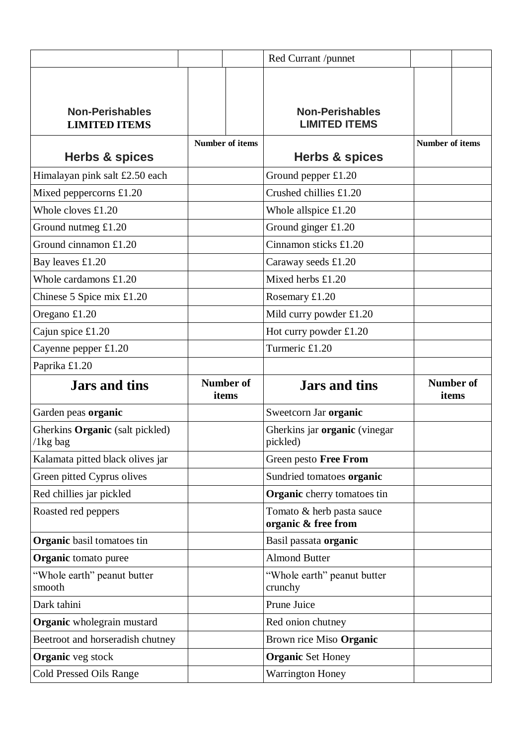|                                                |                           | Red Currant /punnet                              |                        |                           |
|------------------------------------------------|---------------------------|--------------------------------------------------|------------------------|---------------------------|
|                                                |                           |                                                  |                        |                           |
|                                                |                           |                                                  |                        |                           |
| <b>Non-Perishables</b>                         |                           | <b>Non-Perishables</b>                           |                        |                           |
| <b>LIMITED ITEMS</b>                           |                           | <b>LIMITED ITEMS</b>                             |                        |                           |
|                                                | <b>Number of items</b>    |                                                  | <b>Number of items</b> |                           |
| <b>Herbs &amp; spices</b>                      |                           | Herbs & spices                                   |                        |                           |
| Himalayan pink salt £2.50 each                 |                           | Ground pepper $£1.20$                            |                        |                           |
| Mixed peppercorns $£1.20$                      |                           | Crushed chillies £1.20                           |                        |                           |
| Whole cloves $£1.20$                           |                           | Whole allspice $£1.20$                           |                        |                           |
| Ground nutmeg $£1.20$                          |                           | Ground ginger £1.20                              |                        |                           |
| Ground cinnamon £1.20                          |                           | Cinnamon sticks £1.20                            |                        |                           |
| Bay leaves £1.20                               |                           | Caraway seeds £1.20                              |                        |                           |
| Whole cardamons $£1.20$                        |                           | Mixed herbs £1.20                                |                        |                           |
| Chinese 5 Spice mix £1.20                      |                           | Rosemary £1.20                                   |                        |                           |
| Oregano £1.20                                  |                           | Mild curry powder £1.20                          |                        |                           |
| Cajun spice £1.20                              |                           | Hot curry powder £1.20                           |                        |                           |
| Cayenne pepper $£1.20$                         |                           | Turmeric £1.20                                   |                        |                           |
|                                                |                           |                                                  |                        |                           |
| Paprika £1.20                                  |                           |                                                  |                        |                           |
| <b>Jars and tins</b>                           | <b>Number of</b><br>items | <b>Jars and tins</b>                             |                        | <b>Number of</b><br>items |
| Garden peas organic                            |                           | Sweetcorn Jar organic                            |                        |                           |
| Gherkins Organic (salt pickled)<br>$/1$ kg bag |                           | Gherkins jar organic (vinegar<br>pickled)        |                        |                           |
| Kalamata pitted black olives jar               |                           | Green pesto Free From                            |                        |                           |
| Green pitted Cyprus olives                     |                           | Sundried tomatoes organic                        |                        |                           |
| Red chillies jar pickled                       |                           | <b>Organic</b> cherry tomatoes tin               |                        |                           |
| Roasted red peppers                            |                           | Tomato & herb pasta sauce<br>organic & free from |                        |                           |
| <b>Organic</b> basil tomatoes tin              |                           | Basil passata organic                            |                        |                           |
| <b>Organic</b> tomato puree                    |                           | <b>Almond Butter</b>                             |                        |                           |
| "Whole earth" peanut butter<br>smooth          |                           | "Whole earth" peanut butter<br>crunchy           |                        |                           |
| Dark tahini                                    |                           | Prune Juice                                      |                        |                           |
| <b>Organic</b> wholegrain mustard              |                           | Red onion chutney                                |                        |                           |
| Beetroot and horseradish chutney               |                           | Brown rice Miso Organic                          |                        |                           |
| <b>Organic</b> veg stock                       |                           | <b>Organic Set Honey</b>                         |                        |                           |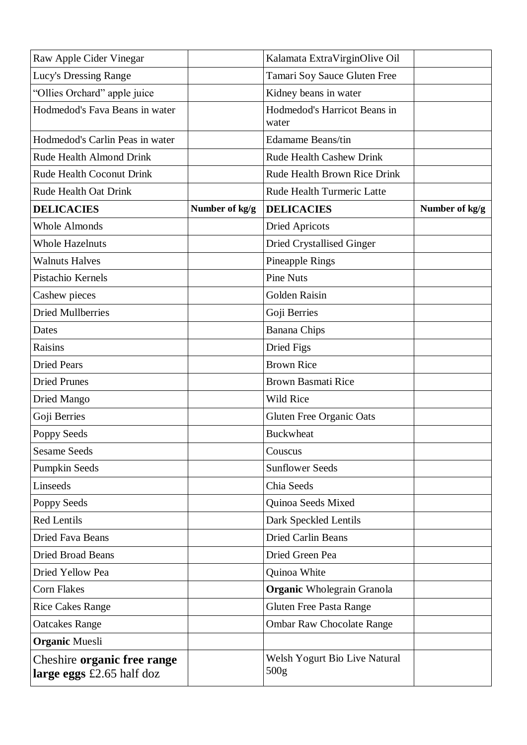| Raw Apple Cider Vinegar                                    |                | Kalamata ExtraVirginOlive Oil                     |                |
|------------------------------------------------------------|----------------|---------------------------------------------------|----------------|
| Lucy's Dressing Range                                      |                | Tamari Soy Sauce Gluten Free                      |                |
| "Ollies Orchard" apple juice                               |                | Kidney beans in water                             |                |
| Hodmedod's Fava Beans in water                             |                | Hodmedod's Harricot Beans in<br>water             |                |
| Hodmedod's Carlin Peas in water                            |                | <b>Edamame Beans/tin</b>                          |                |
| Rude Health Almond Drink                                   |                | <b>Rude Health Cashew Drink</b>                   |                |
| <b>Rude Health Coconut Drink</b>                           |                | Rude Health Brown Rice Drink                      |                |
| <b>Rude Health Oat Drink</b>                               |                | Rude Health Turmeric Latte                        |                |
| <b>DELICACIES</b>                                          | Number of kg/g | <b>DELICACIES</b>                                 | Number of kg/g |
| <b>Whole Almonds</b>                                       |                | <b>Dried Apricots</b>                             |                |
| <b>Whole Hazelnuts</b>                                     |                | Dried Crystallised Ginger                         |                |
| <b>Walnuts Halves</b>                                      |                | Pineapple Rings                                   |                |
| Pistachio Kernels                                          |                | <b>Pine Nuts</b>                                  |                |
| Cashew pieces                                              |                | <b>Golden Raisin</b>                              |                |
| <b>Dried Mullberries</b>                                   |                | Goji Berries                                      |                |
| Dates                                                      |                | <b>Banana Chips</b>                               |                |
| Raisins                                                    |                | Dried Figs                                        |                |
| <b>Dried Pears</b>                                         |                | <b>Brown Rice</b>                                 |                |
| <b>Dried Prunes</b>                                        |                | <b>Brown Basmati Rice</b>                         |                |
| Dried Mango                                                |                | Wild Rice                                         |                |
| Goji Berries                                               |                | <b>Gluten Free Organic Oats</b>                   |                |
| Poppy Seeds                                                |                | <b>Buckwheat</b>                                  |                |
| <b>Sesame Seeds</b>                                        |                | Couscus                                           |                |
| <b>Pumpkin Seeds</b>                                       |                | <b>Sunflower Seeds</b>                            |                |
| Linseeds                                                   |                | Chia Seeds                                        |                |
| Poppy Seeds                                                |                | Quinoa Seeds Mixed                                |                |
| <b>Red Lentils</b>                                         |                | Dark Speckled Lentils                             |                |
| Dried Fava Beans                                           |                | <b>Dried Carlin Beans</b>                         |                |
| <b>Dried Broad Beans</b>                                   |                | Dried Green Pea                                   |                |
| Dried Yellow Pea                                           |                | Quinoa White                                      |                |
| <b>Corn Flakes</b>                                         |                | <b>Organic</b> Wholegrain Granola                 |                |
| <b>Rice Cakes Range</b>                                    |                | <b>Gluten Free Pasta Range</b>                    |                |
| <b>Oatcakes Range</b>                                      |                | <b>Ombar Raw Chocolate Range</b>                  |                |
| <b>Organic Muesli</b>                                      |                |                                                   |                |
| Cheshire organic free range<br>large eggs $£2.65$ half doz |                | Welsh Yogurt Bio Live Natural<br>500 <sub>g</sub> |                |